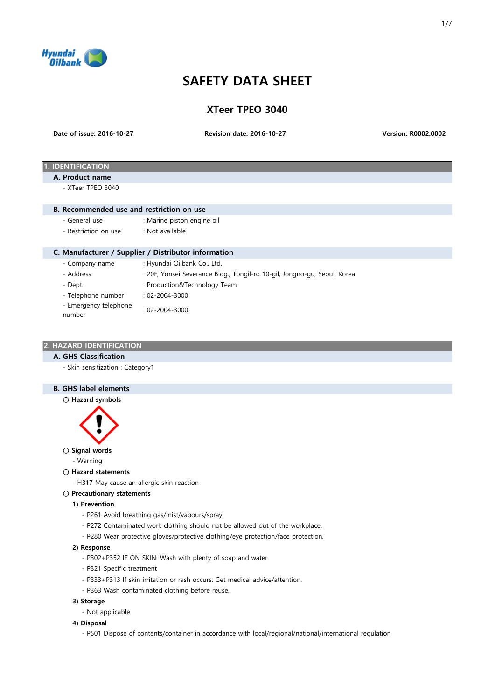

# SAFETY DATA SHEET

| <b>XTeer TPEO 3040</b> |  |  |
|------------------------|--|--|
|------------------------|--|--|

Date of issue: 2016-10-27

Revision date: 2016-10-27 Version: R0002.0002

# **IDENTIFICATION**

## A. Product name

 $-$  XTeer TPFO 3040

#### B. Recommended use and restriction on use

- General use : Marine piston engine oil
- Restriction on use : Not available

## C. Manufacturer / Supplier / Distributor information

- 
- Company name : Hyundai Oilbank Co., Ltd.
- 
- Address : 20F, Yonsei Severance Bldg., Tongil-ro 10-gil, Jongno-gu, Seoul, Korea
- 
- Dept.  $\qquad \qquad : \text{Production@Technology Team}$
- Telephone number : 02-2004-3000
- Emergency telephone number : 02-2004-3000

## 2. HAZARD IDENTIFICATION

## A. GHS Classification

- Skin sensitization : Category1

# B. GHS label elements

○ Hazard symbols



## ○ Signal words

- Warning
- Hazard statements
	- H317 May cause an allergic skin reaction
- Precautionary statements

#### 1) Prevention

- P261 Avoid breathing gas/mist/vapours/spray.
- P272 Contaminated work clothing should not be allowed out of the workplace.
- P280 Wear protective gloves/protective clothing/eye protection/face protection.

#### 2) Response

- P302+P352 IF ON SKIN: Wash with plenty of soap and water.
- P321 Specific treatment
- P333+P313 If skin irritation or rash occurs: Get medical advice/attention.
- P363 Wash contaminated clothing before reuse.

#### 3) Storage

- Not applicable

# 4) Disposal

- P501 Dispose of contents/container in accordance with local/regional/national/international regulation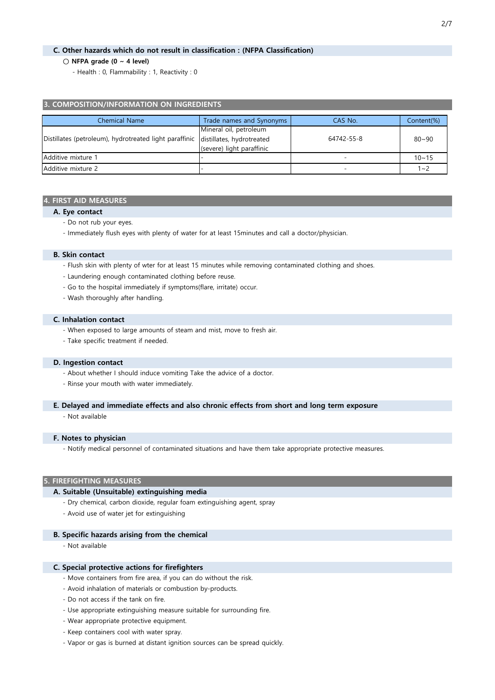# C. Other hazards which do not result in classification : (NFPA Classification)

#### $\bigcirc$  NFPA grade (0 ~ 4 level)

- Health : 0, Flammability : 1, Reactivity : 0

## 3. COMPOSITION/INFORMATION ON INGREDIENTS

| Chemical Name                                          | Trade names and Synonyms  | CAS No.    | Content(%) |
|--------------------------------------------------------|---------------------------|------------|------------|
| Distillates (petroleum), hydrotreated light paraffinic | Mineral oil, petroleum    |            |            |
|                                                        | distillates, hydrotreated | 64742-55-8 | $80 - 90$  |
|                                                        | (severe) light paraffinic |            |            |
| Additive mixture 1                                     |                           |            | $10 - 15$  |
| Additive mixture 2                                     |                           |            | $1 - 2$    |

#### 4. FIRST AID MEASURES

#### A. Eye contact

- Do not rub your eyes.
- Immediately flush eyes with plenty of water for at least 15minutes and call a doctor/physician.

## B. Skin contact

- Flush skin with plenty of wter for at least 15 minutes while removing contaminated clothing and shoes.
- Laundering enough contaminated clothing before reuse.
- Go to the hospital immediately if symptoms(flare, irritate) occur.
- Wash thoroughly after handling.

#### C. Inhalation contact

- When exposed to large amounts of steam and mist, move to fresh air.
- Take specific treatment if needed.

#### D. Ingestion contact

- About whether I should induce vomiting Take the advice of a doctor.
- Rinse your mouth with water immediately.

## E. Delayed and immediate effects and also chronic effects from short and long term exposure

- Not available

#### F. Notes to physician

- Notify medical personnel of contaminated situations and have them take appropriate protective measures.

## 5. FIREFIGHTING MEASURES

#### A. Suitable (Unsuitable) extinguishing media

- Dry chemical, carbon dioxide, regular foam extinguishing agent, spray
- Avoid use of water jet for extinguishing

#### B. Specific hazards arising from the chemical

- Not available

#### C. Special protective actions for firefighters

- Move containers from fire area, if you can do without the risk.
- Avoid inhalation of materials or combustion by-products.
- Do not access if the tank on fire.
- Use appropriate extinguishing measure suitable for surrounding fire.
- Wear appropriate protective equipment.
- Keep containers cool with water spray.
- Vapor or gas is burned at distant ignition sources can be spread quickly.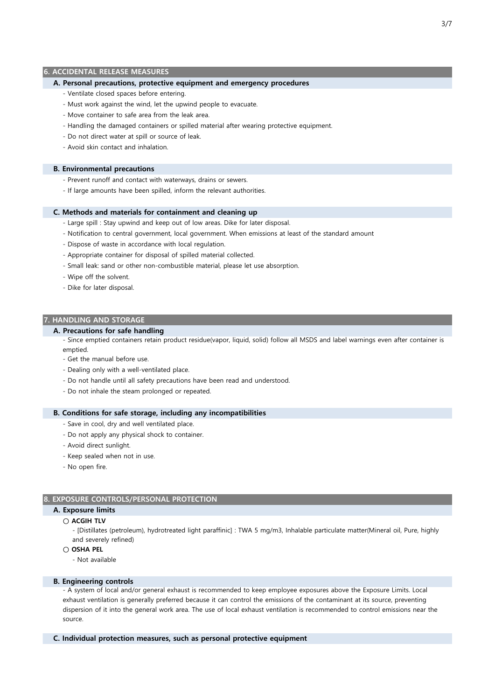#### 6. ACCIDENTAL RELEASE MEASURES

#### A. Personal precautions, protective equipment and emergency procedures

- Ventilate closed spaces before entering.
- Must work against the wind, let the upwind people to evacuate.
- Move container to safe area from the leak area.
- Handling the damaged containers or spilled material after wearing protective equipment.
- Do not direct water at spill or source of leak.
- Avoid skin contact and inhalation.

#### B. Environmental precautions

- Prevent runoff and contact with waterways, drains or sewers.
- If large amounts have been spilled, inform the relevant authorities.

#### C. Methods and materials for containment and cleaning up

- Large spill : Stay upwind and keep out of low areas. Dike for later disposal.
- Notification to central government, local government. When emissions at least of the standard amount
- Dispose of waste in accordance with local regulation.
- Appropriate container for disposal of spilled material collected.
- Small leak: sand or other non-combustible material, please let use absorption.
- Wipe off the solvent.
- Dike for later disposal.

#### 7. HANDLING AND STORAGE

#### A. Precautions for safe handling

- Since emptied containers retain product residue(vapor, liquid, solid) follow all MSDS and label warnings even after container is emptied.
- Get the manual before use.
- Dealing only with a well-ventilated place.
- Do not handle until all safety precautions have been read and understood.
- Do not inhale the steam prolonged or repeated.

## B. Conditions for safe storage, including any incompatibilities

- Save in cool, dry and well ventilated place.
- Do not apply any physical shock to container.
- Avoid direct sunlight.
- Keep sealed when not in use.
- No open fire.

## 8. EXPOSURE CONTROLS/PERSONAL PROTECTION

#### A. Exposure limits

- ACGIH TLV
	- [Distillates (petroleum), hydrotreated light paraffinic] : TWA 5 mg/m3, Inhalable particulate matter(Mineral oil, Pure, highly and severely refined)
- $\cap$  OSHA PFI
	- Not available

#### B. Engineering controls

- A system of local and/or general exhaust is recommended to keep employee exposures above the Exposure Limits. Local exhaust ventilation is generally preferred because it can control the emissions of the contaminant at its source, preventing dispersion of it into the general work area. The use of local exhaust ventilation is recommended to control emissions near the source.

#### C. Individual protection measures, such as personal protective equipment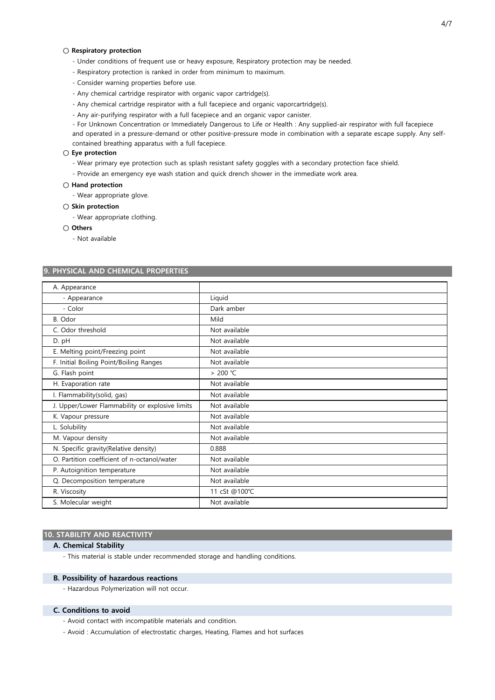#### ○ Respiratory protection

- Under conditions of frequent use or heavy exposure, Respiratory protection may be needed.
- Respiratory protection is ranked in order from minimum to maximum.
- Consider warning properties before use.
- Any chemical cartridge respirator with organic vapor cartridge(s).
- Any chemical cartridge respirator with a full facepiece and organic vaporcartridge(s).
- Any air-purifying respirator with a full facepiece and an organic vapor canister.

- For Unknown Concentration or Immediately Dangerous to Life or Health : Any supplied-air respirator with full facepiece and operated in a pressure-demand or other positive-pressure mode in combination with a separate escape supply. Any selfcontained breathing apparatus with a full facepiece.

#### ○ Eye protection

- Wear primary eye protection such as splash resistant safety goggles with a secondary protection face shield.
- Provide an emergency eye wash station and quick drench shower in the immediate work area.

## ○ Hand protection

- Wear appropriate glove.

# ○ Skin protection

- Wear appropriate clothing.

#### ○ Others

- Not available

## 9. PHYSICAL AND CHEMICAL PROPERTIES

| A. Appearance                                   |               |
|-------------------------------------------------|---------------|
| - Appearance                                    | Liquid        |
| - Color                                         | Dark amber    |
| B. Odor                                         | Mild          |
| C. Odor threshold                               | Not available |
| D. pH                                           | Not available |
| E. Melting point/Freezing point                 | Not available |
| F. Initial Boiling Point/Boiling Ranges         | Not available |
| G. Flash point                                  | > 200 ℃       |
| H. Evaporation rate                             | Not available |
| I. Flammability(solid, gas)                     | Not available |
| J. Upper/Lower Flammability or explosive limits | Not available |
| K. Vapour pressure                              | Not available |
| L. Solubility                                   | Not available |
| M. Vapour density                               | Not available |
| N. Specific gravity(Relative density)           | 0.888         |
| O. Partition coefficient of n-octanol/water     | Not available |
| P. Autoignition temperature                     | Not available |
| Q. Decomposition temperature                    | Not available |
| R. Viscosity                                    | 11 cSt @100℃  |
| S. Molecular weight                             | Not available |

#### 10. STABILITY AND REACTIVITY

#### A. Chemical Stability

- This material is stable under recommended storage and handling conditions.

#### B. Possibility of hazardous reactions

- Hazardous Polymerization will not occur.

#### C. Conditions to avoid

- Avoid contact with incompatible materials and condition.
- Avoid : Accumulation of electrostatic charges, Heating, Flames and hot surfaces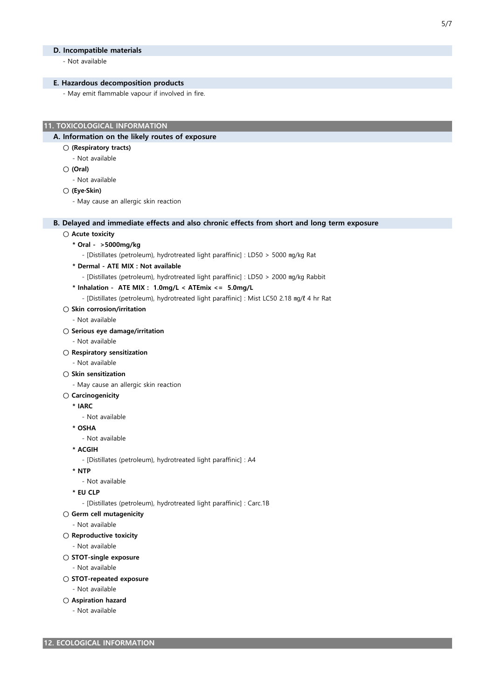#### D. Incompatible materials

- Not available

# E. Hazardous decomposition products

- May emit flammable vapour if involved in fire.

## 11. TOXICOLOGICAL INFORMATION

## A. Information on the likely routes of exposure

## ○ (Respiratory tracts)

- Not available
- (Oral)
	- Not available

#### ○ (Eye·Skin)

- May cause an allergic skin reaction

## B. Delayed and immediate effects and also chronic effects from short and long term exposure

#### ○ Acute toxicity

\* Oral - >5000mg/kg

- [Distillates (petroleum), hydrotreated light paraffinic] : LD50 > 5000 ㎎/㎏ Rat

\* Dermal - ATE MIX : Not available

- [Distillates (petroleum), hydrotreated light paraffinic] : LD50 > 2000 ㎎/㎏ Rabbit

# \* Inhalation - ATE MIX : 1.0mg/L < ATEmix <= 5.0mg/L

- [Distillates (petroleum), hydrotreated light paraffinic] : Mist LC50 2.18 ㎎/ℓ 4 hr Rat

## ○ Skin corrosion/irritation

- Not available

#### ○ Serious eye damage/irritation

- Not available

## ○ Respiratory sensitization

- Not available

#### ○ Skin sensitization

- May cause an allergic skin reaction

## ○ Carcinogenicity

\* IARC

#### - Not available

- \* OSHA
- Not available
- \* ACGIH
	- [Distillates (petroleum), hydrotreated light paraffinic] : A4
- \* NTP
- Not available

# \* EU CLP

- [Distillates (petroleum), hydrotreated light paraffinic] : Carc.1B
- Germ cell mutagenicity
	- Not available

## ○ Reproductive toxicity

- Not available
- STOT-single exposure
	- Not available

## ○ STOT-repeated exposure

- Not available
- Aspiration hazard
	- Not available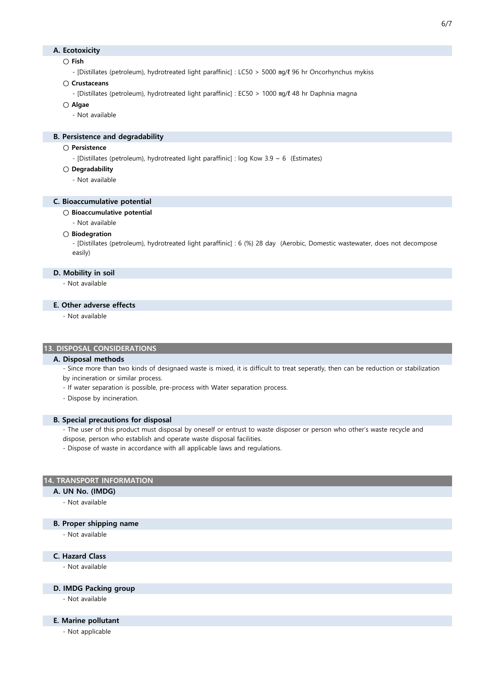## A. Ecotoxicity

## $\cap$  Fish

- [Distillates (petroleum), hydrotreated light paraffinic] : LC50 > 5000 ㎎/ℓ 96 hr Oncorhynchus mykiss

# ○ Crustaceans

- [Distillates (petroleum), hydrotreated light paraffinic] : EC50 > 1000 ㎎/ℓ 48 hr Daphnia magna

- Algae
	- Not available

## B. Persistence and degradability

- Persistence
	- [Distillates (petroleum), hydrotreated light paraffinic] : log Kow 3.9 ~ 6 (Estimates)
- Degradability
	- Not available

## C. Bioaccumulative potential

#### ○ Bioaccumulative potential

- Not available

#### ○ Biodegration

- [Distillates (petroleum), hydrotreated light paraffinic] : 6 (%) 28 day (Aerobic, Domestic wastewater, does not decompose easily)

#### D. Mobility in soil

- Not available

## E. Other adverse effects

- Not available

## 13. DISPOSAL CONSIDERATIONS

# A. Disposal methods

- Since more than two kinds of designaed waste is mixed, it is difficult to treat seperatly, then can be reduction or stabilization by incineration or similar process.

- If water separation is possible, pre-process with Water separation process.
- Dispose by incineration.

#### B. Special precautions for disposal

- The user of this product must disposal by oneself or entrust to waste disposer or person who other's waste recycle and
- dispose, person who establish and operate waste disposal facilities.
- Dispose of waste in accordance with all applicable laws and regulations.

#### 14. TRANSPORT INFORMATION

#### A. UN No. (IMDG)

- Not available

## B. Proper shipping name

- Not available

# C. Hazard Class

- Not available

# D. IMDG Packing group

- Not available

## E. Marine pollutant

- Not applicable